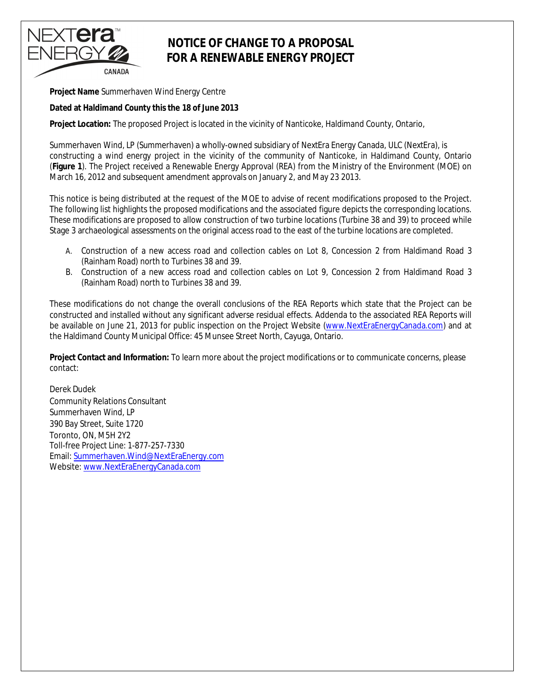## NEXT**era**® **ENERGY** CANADA

## **NOTICE OF CHANGE TO A PROPOSAL FOR A RENEWABLE ENERGY PROJECT**

**Project Name** Summerhaven Wind Energy Centre

**Dated at Haldimand County this the 18 of June 2013** 

**Project Location:** The proposed Project is located in the vicinity of Nanticoke, Haldimand County, Ontario,

Summerhaven Wind, LP (Summerhaven) a wholly-owned subsidiary of NextEra Energy Canada, ULC (NextEra), is constructing a wind energy project in the vicinity of the community of Nanticoke, in Haldimand County, Ontario (**Figure 1**). The Project received a Renewable Energy Approval (REA) from the Ministry of the Environment (MOE) on March 16, 2012 and subsequent amendment approvals on January 2, and May 23 2013.

This notice is being distributed at the request of the MOE to advise of recent modifications proposed to the Project. The following list highlights the proposed modifications and the associated figure depicts the corresponding locations. These modifications are proposed to allow construction of two turbine locations (Turbine 38 and 39) to proceed while Stage 3 archaeological assessments on the original access road to the east of the turbine locations are completed.

- A. Construction of a new access road and collection cables on Lot 8, Concession 2 from Haldimand Road 3 (Rainham Road) north to Turbines 38 and 39.
- B. Construction of a new access road and collection cables on Lot 9, Concession 2 from Haldimand Road 3 (Rainham Road) north to Turbines 38 and 39.

These modifications do not change the overall conclusions of the REA Reports which state that the Project can be constructed and installed without any significant adverse residual effects. Addenda to the associated REA Reports will be available on June 21, 2013 for public inspection on the Project Website (www.NextEraEnergyCanada.com) and at the Haldimand County Municipal Office: 45 Munsee Street North, Cayuga, Ontario.

**Project Contact and Information:** To learn more about the project modifications or to communicate concerns, please contact:

Derek Dudek Community Relations Consultant Summerhaven Wind, LP 390 Bay Street, Suite 1720 Toronto, ON, M5H 2Y2 Toll-free Project Line: 1-877-257-7330 Email: Summerhaven.Wind@NextEraEnergy.com Website: www.NextEraEnergyCanada.com